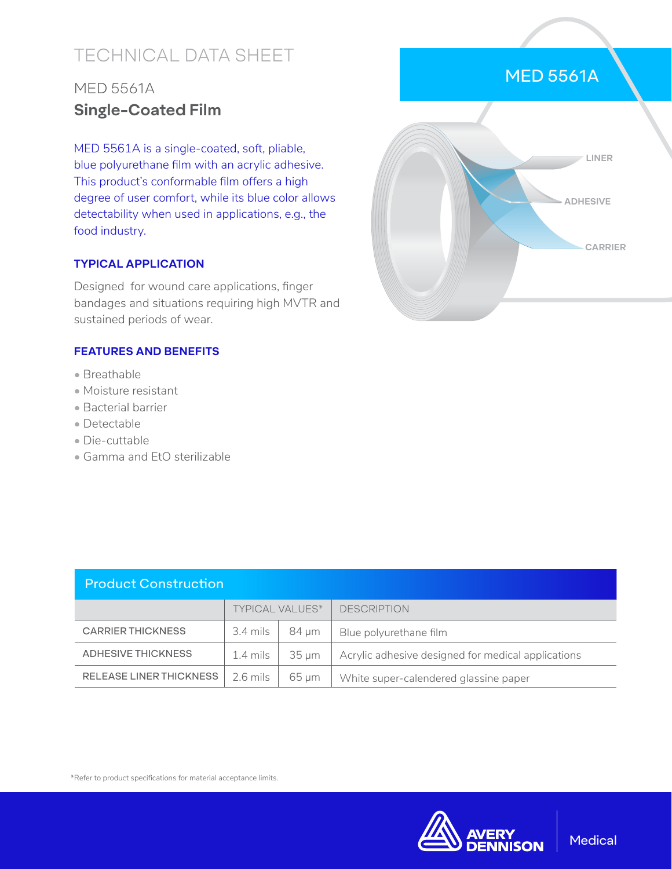# TECHNICAL DATA SHEET

## MED 5561A **Single-Coated Film**

MED 5561A is a single-coated, soft, pliable, blue polyurethane film with an acrylic adhesive. This product's conformable film offers a high degree of user comfort, while its blue color allows detectability when used in applications, e.g., the food industry.

### **TYPICAL APPLICATION**

Designed for wound care applications, finger bandages and situations requiring high MVTR and sustained periods of wear.

### **FEATURES AND BENEFITS**

- Breathable
- Moisture resistant
- Bacterial barrier
- Detectable
- Die-cuttable
- Gamma and EtO sterilizable



| <b>Product Construction</b>    |                        |                 |                                                    |  |  |  |
|--------------------------------|------------------------|-----------------|----------------------------------------------------|--|--|--|
|                                | <b>TYPICAL VALUES*</b> |                 | <b>DESCRIPTION</b>                                 |  |  |  |
| <b>CARRIER THICKNESS</b>       | 3.4 mils               | 84 um           | Blue polyurethane film                             |  |  |  |
| ADHESIVE THICKNESS             | 1.4 mils               | $35 \text{ nm}$ | Acrylic adhesive designed for medical applications |  |  |  |
| <b>RELEASE LINER THICKNESS</b> | $2.6 \text{ miles}$    | 65 um           | White super-calendered glassine paper              |  |  |  |

\*Refer to product specifications for material acceptance limits.